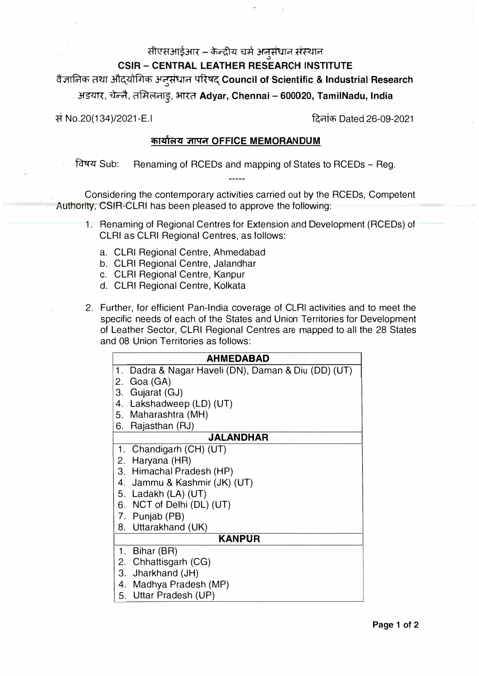## सीएसआईआर – केन्द्रीय चर्म अनुसंधान संस्थान

## **CSIR - CENTRAL LEATHER RESEARCH INSTITUTE**

·� .;r11Fa-lcn c=rm ��41fJ'lcn ' **��Council of Scientific & Industrial Research** � ' अडयार, चन्ने, तामेलनाडु, भारत **Adyar, Chennai – 600020, TamilNadu, India** 

� No.20(134)/2021-E.I **R;cr1icfi** Dated 26-09-2021

## **cfi14'fot4 � OFFICE MEMORANDUM**

� Sub: Renaming of RCEDs and mapping of States to RCEDs - Reg.

Considering the contemporary activities carried out by the RCEDs, Competent Authority; CSIR-CLRI has been pleased to approve the following:

- 1. Renaming of Regional Centres for Extension and Development (RCEDs) of CLRI as CLRI Regional Centres, as follows:
	- a. CLRI Regional Centre, Ahmedabad
	- b. CLRI Regional Centre, Jalandhar
	- c. CLRI Regional Centre, Kanpur
	- d. CLRI Regional Centre, Kolkata
- 2. Further, for efficient Pan-India coverage of CLRI activities and to meet the specific needs of each of the States and Union Territories for Development of Leather Sector, CLRI Regional Centres are mapped to all the 28 States and 08 Union Territories as follows:

| <b>AHMFDABAD</b>                                       |  |  |
|--------------------------------------------------------|--|--|
| Dadra & Nagar Haveli (DN), Daman & Diu (DD) (UT)<br>1. |  |  |
| 2. Goa (GA)                                            |  |  |
| Gujarat (GJ)<br>З.                                     |  |  |
| Lakshadweep (LD) (UT)<br>4.                            |  |  |
| 5. Maharashtra (MH)                                    |  |  |
| Rajasthan (RJ)<br>6.                                   |  |  |
| <b>JALANDHAR</b>                                       |  |  |
| 1. Chandigarh (CH) (UT)                                |  |  |
| 2. Haryana (HR)                                        |  |  |
| 3. Himachal Pradesh (HP)                               |  |  |
| 4. Jammu & Kashmir (JK) (UT)                           |  |  |
| 5. Ladakh (LA) (UT)                                    |  |  |
| 6. NCT of Delhi (DL) (UT)                              |  |  |
| 7. Punjab (PB)                                         |  |  |
| 8. Uttarakhand (UK)                                    |  |  |
| <b>KANPUR</b>                                          |  |  |
| Bihar (BR)<br>1.                                       |  |  |
| 2. Chhattisgarh (CG)                                   |  |  |
| 3. Jharkhand (JH)                                      |  |  |
| 4. Madhya Pradesh (MP)                                 |  |  |
| 5. Uttar Pradesh (UP)                                  |  |  |